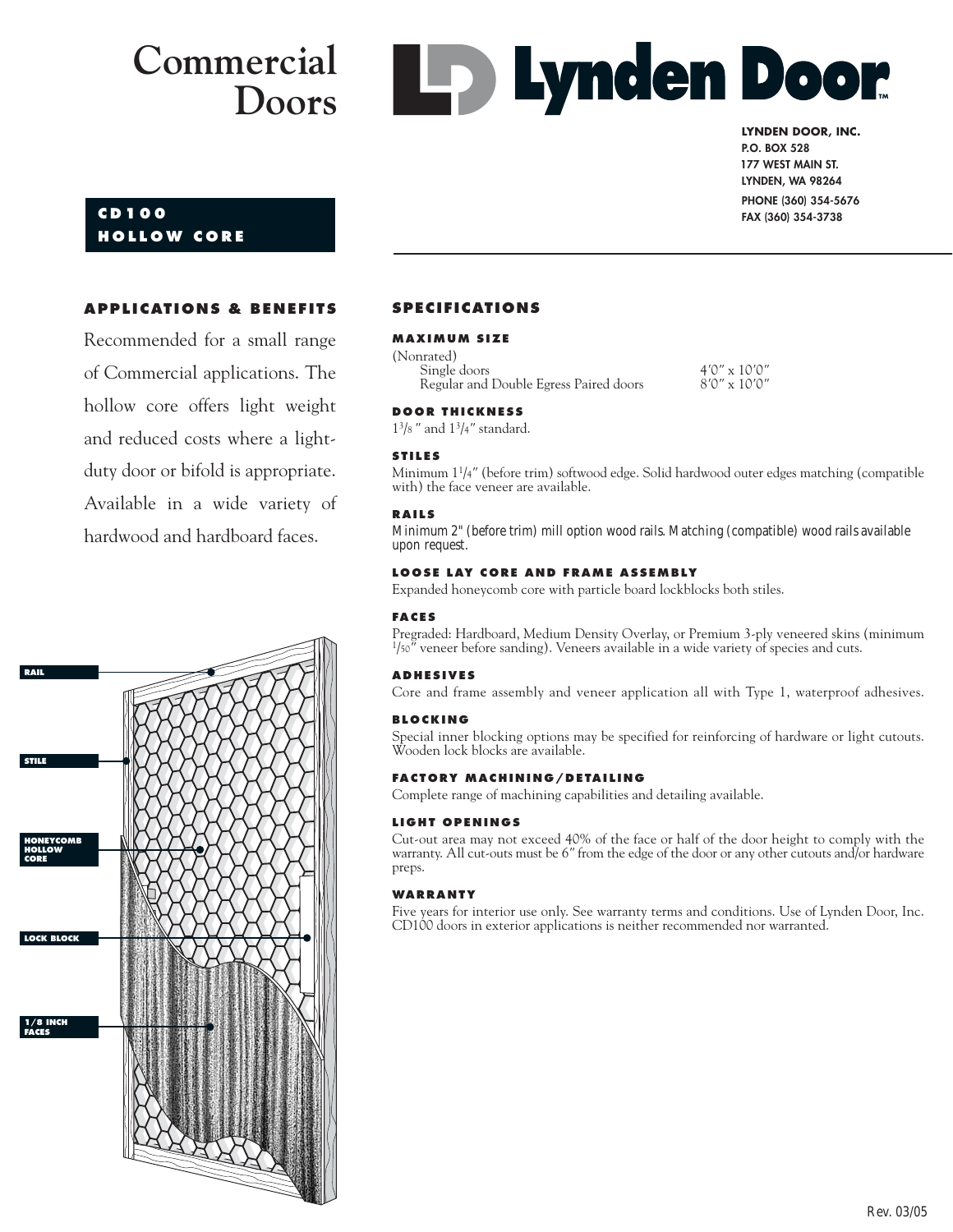**Les Lynden Door** 

# **CD100 HOLLOW CORE**

**LYNDEN DOOR, INC. P.O. BOX 528 177 WEST MAIN ST. 177 WEST MAIN ST. LYNDEN, WA 98264 PHONE (360) 354-5676 FAX (360) 354-3738**

# **APPLICATIONS & BENEFITS**

Recommended for a small range of Commercial applications. The hollow core offers light weight and reduced costs where a lightduty door or bifold is appropriate. Available in a wide variety of hardwood and hardboard faces.



### **SPECIFICATIONS**

#### **MAXIMUM SIZE**

| (Nonrated)                             |  |
|----------------------------------------|--|
| Single doors                           |  |
| Regular and Double Egress Paired doors |  |
|                                        |  |

#### **DOOR THICKNESS**

13/8 *"* and 13/4*"* standard.

#### **STILES**

Minimum 11/4*"* (before trim) softwood edge. Solid hardwood outer edges matching (compatible with) the face veneer are available.

Single doors 4*'*0*"* x 10*'*0*"* Regular and Double Egress Paired doors 8*'*0*"* x 10*'*0*"*

#### **RAILS**

Minimum 2" (before trim) mill option wood rails. Matching (compatible) wood rails available upon request.

#### **LOOSE LAY CORE AND FRAME ASSEMBLY**

Expanded honeycomb core with particle board lockblocks both stiles.

#### **FACES**

Pregraded: Hardboard, Medium Density Overlay, or Premium 3-ply veneered skins (minimum 1/50*"* veneer before sanding). Veneers available in a wide variety of species and cuts.

#### **ADHESIVES**

Core and frame assembly and veneer application all with Type 1, waterproof adhesives.

#### **BLOCKING**

Special inner blocking options may be specified for reinforcing of hardware or light cutouts. Wooden lock blocks are available.

#### **FACTORY MACHINING/DETAILING**

Complete range of machining capabilities and detailing available.

#### **LIGHT OPENINGS**

Cut-out area may not exceed 40% of the face or half of the door height to comply with the warranty. All cut-outs must be 6*"* from the edge of the door or any other cutouts and/or hardware preps.

#### **WARRANTY**

Five years for interior use only. See warranty terms and conditions. Use of Lynden Door, Inc. CD100 doors in exterior applications is neither recommended nor warranted.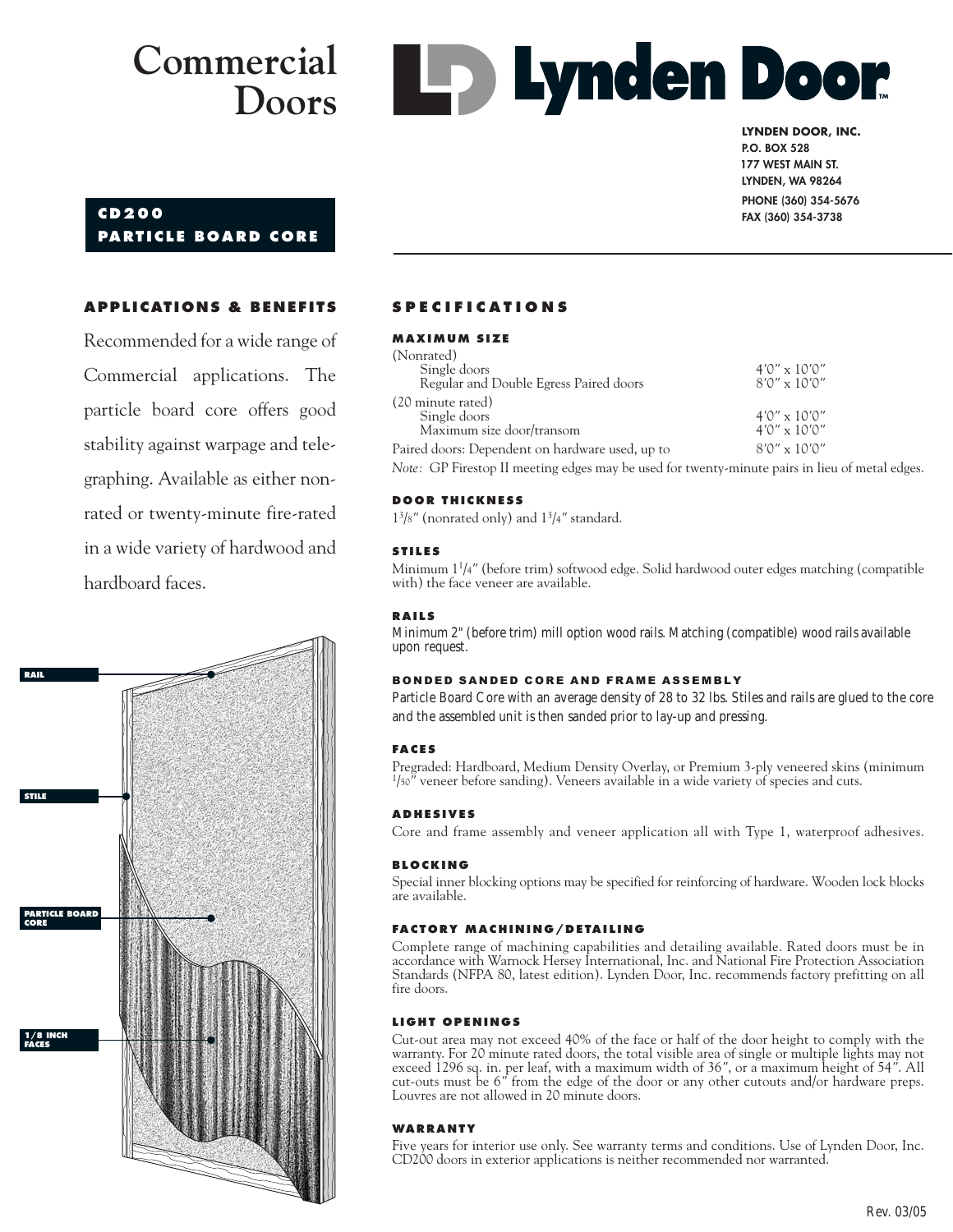

#### **LYNDEN DOOR, INC. P.O. BOX 528 177 WEST MAIN ST. 177 WEST MAIN ST. LYNDEN, WA 98264 PHONE (360) 354-5676 FAX (360) 354-3738**

# **CD200 PARTICLE BOARD CORE**

## **APPLICATIONS & BENEFITS**

Recommended for a wide range of Commercial applications. The particle board core offers good stability against warpage and telegraphing. Available as either nonrated or twenty-minute fire-rated in a wide variety of hardwood and hardboard faces.



# **SPECIFICATIONS**

#### **MAXIMUM SIZE**

| (Nonrated)                                      |                       |
|-------------------------------------------------|-----------------------|
| Single doors                                    | $4'0'' \times 10'0''$ |
| Regular and Double Egress Paired doors          | $8'0'' \times 10'0''$ |
| (20 minute rated)                               |                       |
| Single doors                                    | $4'0'' \times 10'0''$ |
| Maximum size door/transom                       | $4'0'' \times 10'0''$ |
| Paired doors: Dependent on hardware used, up to | $8'0'' \times 10'0''$ |

*Note:* GP Firestop II meeting edges may be used for twenty-minute pairs in lieu of metal edges.

#### **DOOR THICKNESS**

13/8*"* (nonrated only) and 13/4*"* standard.

#### **STILES**

Minimum 11/4*"* (before trim) softwood edge. Solid hardwood outer edges matching (compatible with) the face veneer are available.

#### **RAILS**

Minimum 2" (before trim) mill option wood rails. Matching (compatible) wood rails available upon request.

#### BONDED SANDED CORE AND FRAME ASSEMBLY

Particle Board Core with an average density of 28 to 32 lbs. Stiles and rails are glued to the core and the assembled unit is then sanded prior to lay-up and pressing.

#### **FACES**

Pregraded: Hardboard, Medium Density Overlay, or Premium 3-ply veneered skins (minimum <sup>1</sup>/<sub>50</sub><sup>*m*</sup> veneer before sanding). Veneers available in a wide variety of species and cuts.

#### **ADHESIVES**

Core and frame assembly and veneer application all with Type 1, waterproof adhesives.

#### **BLOCKING**

Special inner blocking options may be specified for reinforcing of hardware. Wooden lock blocks are available.

#### **FACTORY MACHINING/DETAILING**

Complete range of machining capabilities and detailing available. Rated doors must be in accordance with Warnock Hersey International, Inc. and National Fire Protection Association Standards (NFPA 80, latest edition). Lynden Door, Inc. recommends factory prefitting on all fire doors.

#### **LIGHT OPENINGS**

Cut-out area may not exceed 40% of the face or half of the door height to comply with the warranty. For 20 minute rated doors, the total visible area of single or multiple lights may not exceed 1296 sq. in. per leaf, with a maximum width of 36*"*, or a maximum height of 54*"*. All cut-outs must be 6*"* from the edge of the door or any other cutouts and/or hardware preps. Louvres are not allowed in 20 minute doors.

#### **WARRANTY**

Five years for interior use only. See warranty terms and conditions. Use of Lynden Door, Inc. CD200 doors in exterior applications is neither recommended nor warranted.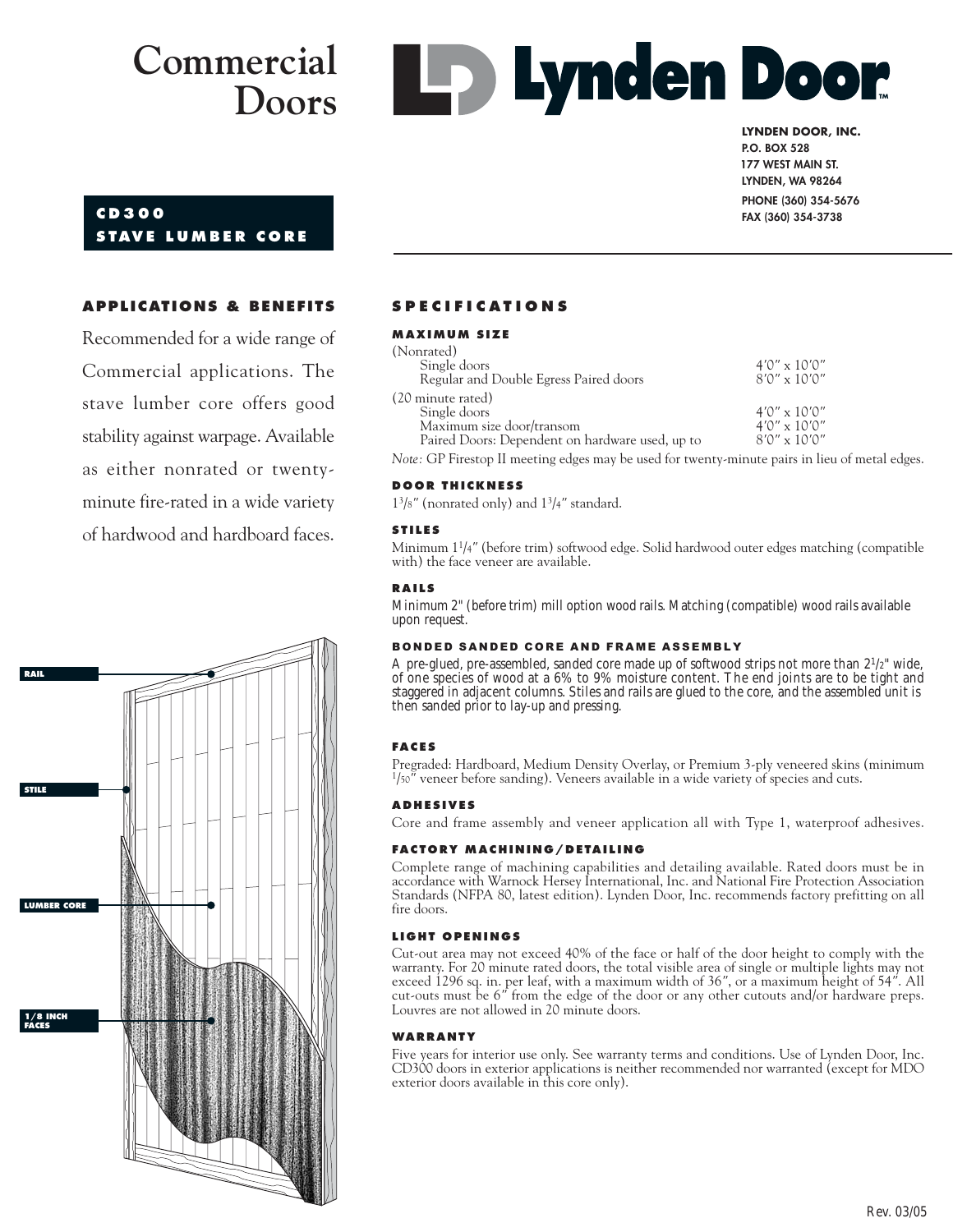**Lynden Door** 

# **LYNDEN DOOR, INC.**

**CD300 S TAVE LUMBER CORE**

**P.O. BOX 528 177 WEST MAIN ST. 177 WEST MAIN ST. LYNDEN, WA 98264 PHONE (360) 354-5676 FAX (360) 354-3738**

### **APPLICATIONS & BENEFITS**

Recommended for a wide range of Commercial applications. The stave lumber core offers good stability against warpage. Available as either nonrated or twentyminute fire-rated in a wide variety of hardwood and hardboard faces.



#### **SPECIFICATIONS**

#### **MAXIMUM SIZE**

| (Nonrated)                                                                                     |                       |
|------------------------------------------------------------------------------------------------|-----------------------|
| Single doors                                                                                   | $4'0'' \times 10'0''$ |
| Regular and Double Egress Paired doors                                                         | $8'0'' \times 10'0''$ |
| (20 minute rated)                                                                              |                       |
| Single doors                                                                                   | $4'0'' \times 10'0''$ |
| Maximum size door/transom                                                                      | $4'0'' \times 10'0''$ |
| Paired Doors: Dependent on hardware used, up to                                                | $8'0'' \times 10'0''$ |
| Note: GP Firestop II meeting edges may be used for twenty-minute pairs in lieu of metal edges. |                       |

#### **DOOR THICKNESS**

13/8*"* (nonrated only) and 13/4*"* standard.

#### **STILES**

Minimum 11/4*"* (before trim) softwood edge. Solid hardwood outer edges matching (compatible with) the face veneer are available.

#### **RAILS**

Minimum 2" (before trim) mill option wood rails. Matching (compatible) wood rails available upon request.

#### BONDED SANDED CORE AND FRAME ASSEMBLY

A pre-glued, pre-assembled, sanded core made up of softwood strips not more than  $2^{1}/2"$  wide, of one species of wood at a 6% to 9% moisture content. The end joints are to be tight and staggered in adjacent columns. Stiles and rails are glued to the core, and the assembled unit is then sanded prior to lay-up and pressing.

#### **FACES**

Pregraded: Hardboard, Medium Density Overlay, or Premium 3-ply veneered skins (minimum <sup>1</sup>/50<sup>"</sup> veneer before sanding). Veneers available in a wide variety of species and cuts.

#### **ADHESIVES**

Core and frame assembly and veneer application all with Type 1, waterproof adhesives.

#### **FACTORY MACHINING/DETAILING**

Complete range of machining capabilities and detailing available. Rated doors must be in accordance with Warnock Hersey International, Inc. and National Fire Protection Association Standards (NFPA 80, latest edition). Lynden Door, Inc. recommends factory prefitting on all fire doors.

#### **LIGHT OPENINGS**

Cut-out area may not exceed 40% of the face or half of the door height to comply with the warranty. For 20 minute rated doors, the total visible area of single or multiple lights may not exceed 1296 sq. in. per leaf, with a maximum width of 36*"*, or a maximum height of 54*"*. All cut-outs must be 6*"* from the edge of the door or any other cutouts and/or hardware preps. Louvres are not allowed in 20 minute doors.

#### **WARRANTY**

Five years for interior use only. See warranty terms and conditions. Use of Lynden Door, Inc. CD300 doors in exterior applications is neither recommended nor warranted (except for MDO exterior doors available in this core only).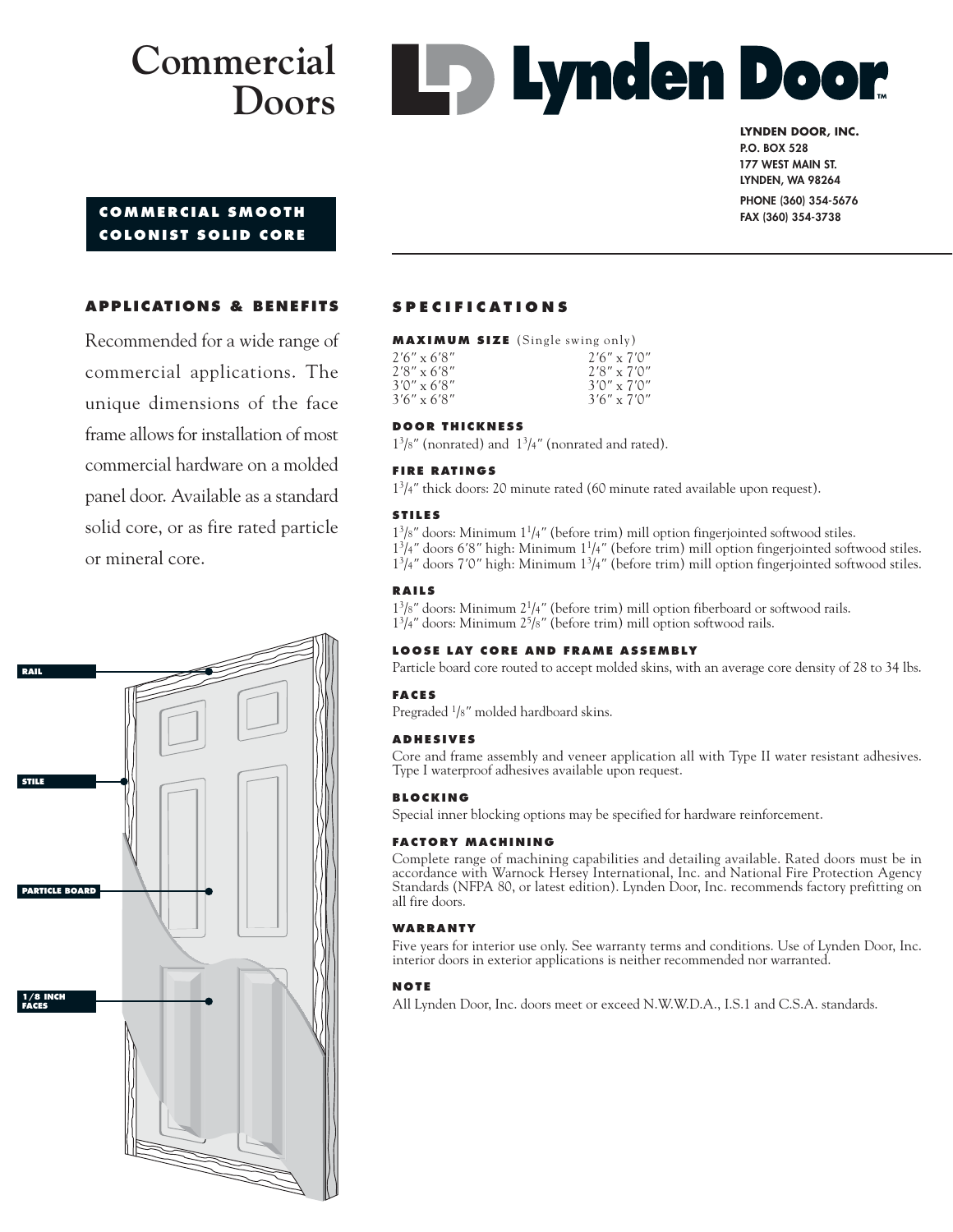# **Commercial Doors**



#### **LYNDEN DOOR, INC. P.O. BOX 528 177 WEST MAIN ST. 177 WEST MAIN ST. LYNDEN, WA 98264**

# **COMMERCIAL SMOOTH COLONIST SOLID CORE**

# **PHONE (360) 354-5676 FAX (360) 354-3738**

# **APPLICATIONS & BENEFITS**

Recommended for a wide range of commercial applications. The unique dimensions of the face frame allows for installation of most commercial hardware on a molded panel door. Available as a standard solid core, or as fire rated particle or mineral core.



# **SPECIFICATIONS**

**MAXIMUM SIZE** (Single swing only)

| $2'6'' \times 6'8''$ | $2'6'' \times 7'0''$ |
|----------------------|----------------------|
| $2'8'' \times 6'8''$ | $2'8'' \times 7'0''$ |
| $3'0'' \times 6'8''$ | $3'0'' \times 7'0''$ |
| $3'6'' \times 6'8''$ | $3'6'' \times 7'0''$ |

#### **DOOR THICKNESS**

13/8*"* (nonrated) and 13/4*"* (nonrated and rated).

#### **FIRE RATINGS**

13/4*"* thick doors: 20 minute rated (60 minute rated available upon request).

#### **STILES**

13/8*"* doors: Minimum 11/4*"* (before trim) mill option fingerjointed softwood stiles. 13/4*"* doors 6*'*8*"* high: Minimum 11/4*"* (before trim) mill option fingerjointed softwood stiles. 13/4*"* doors 7*'*0*"* high: Minimum 13/4*"* (before trim) mill option fingerjointed softwood stiles.

#### **RAILS**

13/8*"* doors: Minimum 21/4*"* (before trim) mill option fiberboard or softwood rails. 13/4*"* doors: Minimum 25/8*"* (before trim) mill option softwood rails.

#### **LOOSE LAY CORE AND FRAME ASSEMBLY**

Particle board core routed to accept molded skins, with an average core density of 28 to 34 lbs.

#### **FACES**

Pregraded 1/8*"* molded hardboard skins.

#### **ADHESIVES**

Core and frame assembly and veneer application all with Type II water resistant adhesives. Type I waterproof adhesives available upon request.

#### **BLOCKING**

Special inner blocking options may be specified for hardware reinforcement.

#### **FACTORY MACHINING**

Complete range of machining capabilities and detailing available. Rated doors must be in accordance with Warnock Hersey International, Inc. and National Fire Protection Agency Standards (NFPA 80, or latest edition). Lynden Door, Inc. recommends factory prefitting on all fire doors.

#### **WARRANTY**

Five years for interior use only. See warranty terms and conditions. Use of Lynden Door, Inc. interior doors in exterior applications is neither recommended nor warranted.

#### **NOTE**

All Lynden Door, Inc. doors meet or exceed N.W.W.D.A., I.S.1 and C.S.A. standards.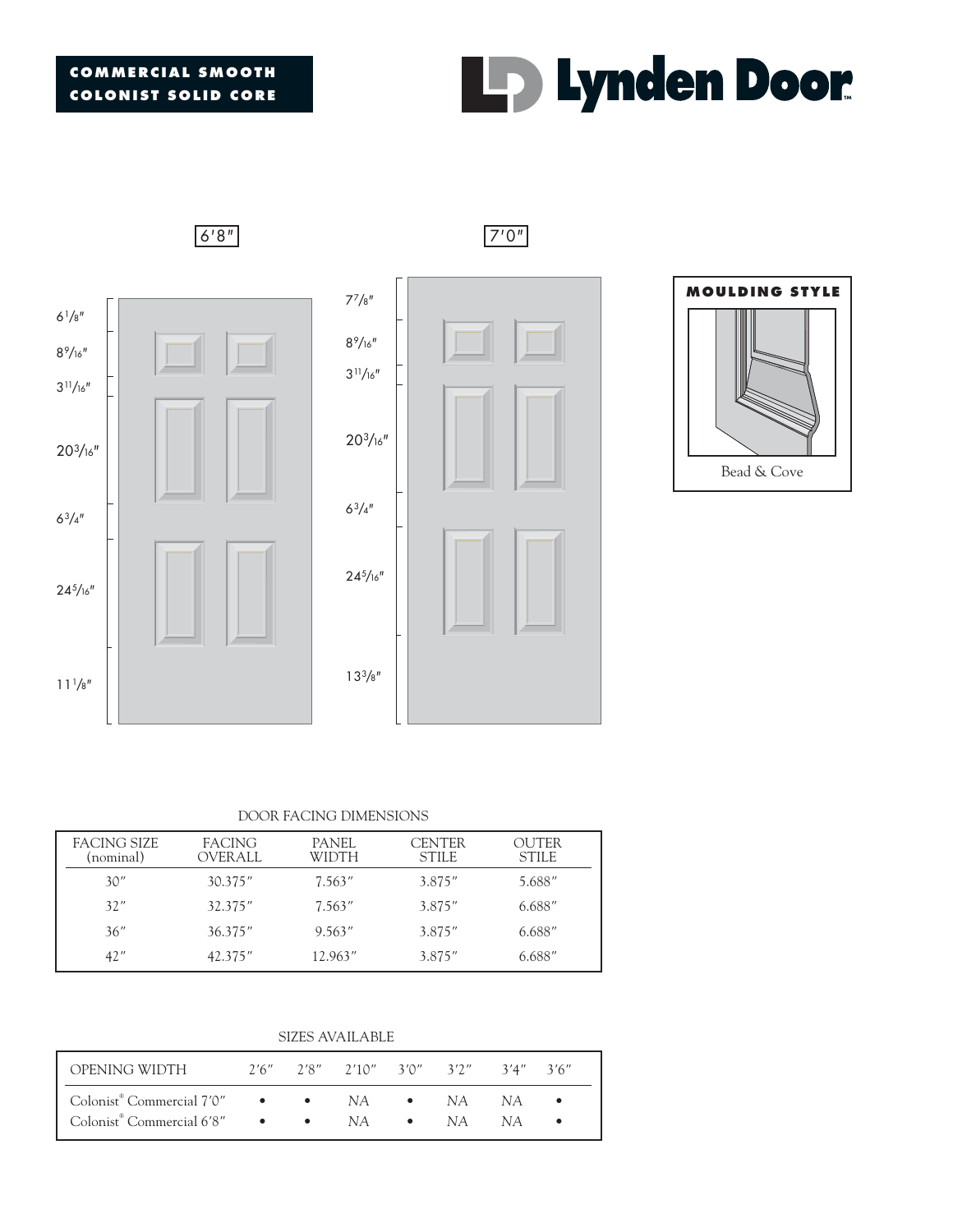



#### DOOR FACING DIMENSIONS

| FACING SIZE<br>(nominal) | <b>FACING</b><br>OVER ALL | PANEL<br>WIDTH | <b>CENTER</b><br><b>STILE</b> | OUTER<br><b>STILE</b> |
|--------------------------|---------------------------|----------------|-------------------------------|-----------------------|
| 30''                     | 30.375''                  | 7.563''        | 3.875"                        | 5.688"                |
| 32''                     | 32.375"                   | 7.563''        | 3.875"                        | 6.688"                |
| 36''                     | 36.375''                  | 9.563''        | 3.875"                        | 6.688"                |
| 42"                      | 42.375"                   | 12.963"        | 3.875"                        | 6.688"                |

SIZES AVAILABLE

| OPENING WIDTH                                        |  | $2'6''$ $2'8''$ $2'10''$ $3'0''$ $3'2''$ $3'4''$ $3'6''$ |  |  |
|------------------------------------------------------|--|----------------------------------------------------------|--|--|
| Colonist <sup>®</sup> Commercial 7'0" • • NA • NA NA |  |                                                          |  |  |
| Colonist <sup>®</sup> Commercial 6'8" • • NA • NA NA |  |                                                          |  |  |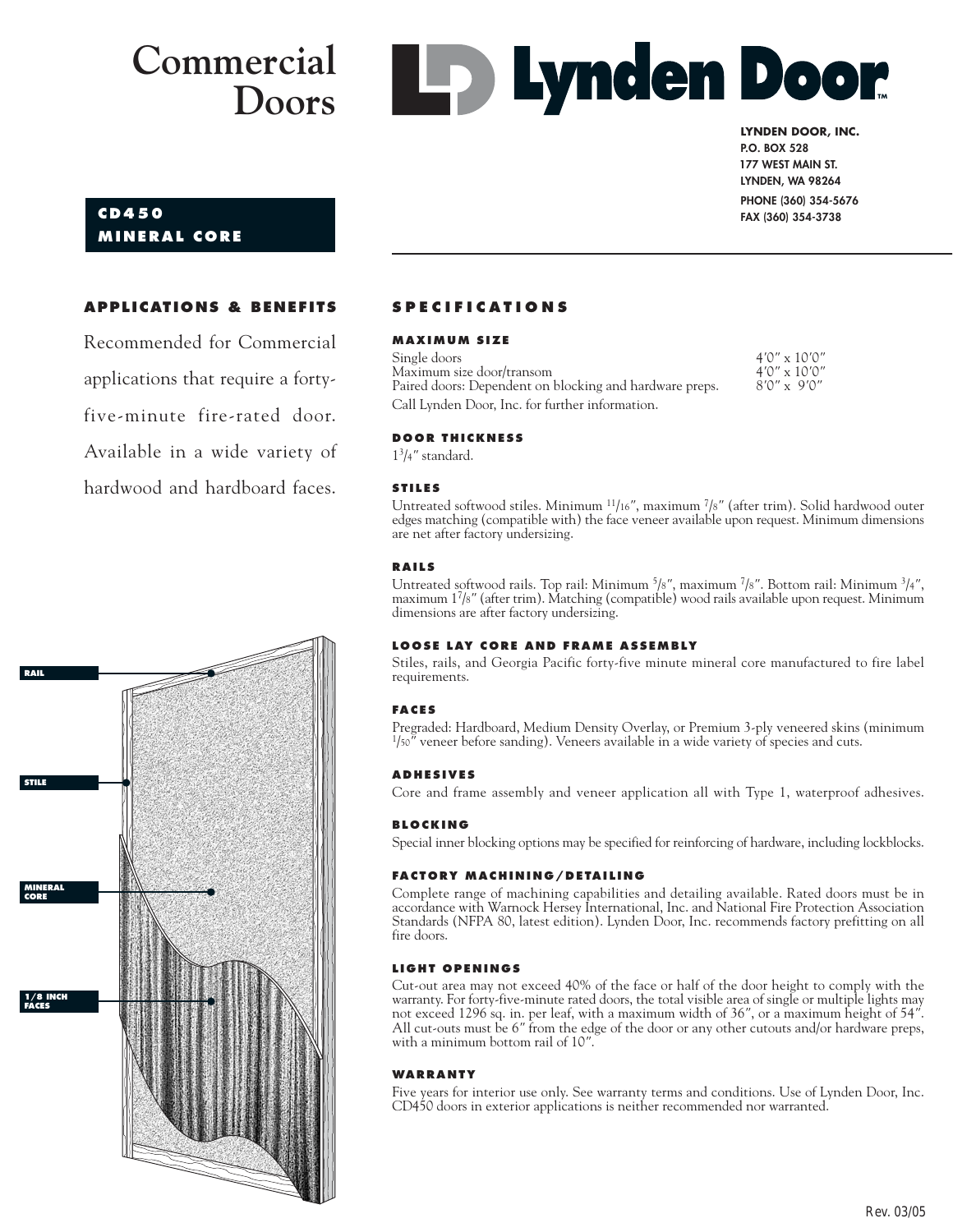**Lynden Door** 

#### **LYNDEN DOOR, INC. P.O. BOX 528 177 WEST MAIN ST. 177 WEST MAIN ST.**

**LYNDEN, WA 98264 PHONE (360) 354-5676 FAX (360) 354-3738**

# **CD450 MINERAL CORE**

### **APPLICATIONS & BENEFITS**

Recommended for Commercial applications that require a fortyfive-minute fire-rated door. Available in a wide variety of hardwood and hardboard faces.



# **SPECIFICATIONS**

#### **MAXIMUM SIZE**

Single doors 4*'*0*"* x 10*'*0*"* Maximum size door/transom 4*'*0*"* x 10*'*0*"* Paired doors: Dependent on blocking and hardware preps. Call Lynden Door, Inc. for further information.

#### **DOOR THICKNESS**

13/4*"* standard.

#### **STILES**

Untreated softwood stiles. Minimum 11/16*"*, maximum 7/8*"* (after trim). Solid hardwood outer edges matching (compatible with) the face veneer available upon request. Minimum dimensions are net after factory undersizing.

#### **RAILS**

Untreated softwood rails. Top rail: Minimum 5/8*"*, maximum 7/8*"*. Bottom rail: Minimum 3/4*"*, maximum 17/8*"* (after trim). Matching (compatible) wood rails available upon request. Minimum dimensions are after factory undersizing.

#### **LOOSE LAY CORE AND FRAME ASSEMBLY**

Stiles, rails, and Georgia Pacific forty-five minute mineral core manufactured to fire label requirements.

#### **FACES**

Pregraded: Hardboard, Medium Density Overlay, or Premium 3-ply veneered skins (minimum 1/50*"* veneer before sanding). Veneers available in a wide variety of species and cuts.

#### **ADHESIVES**

Core and frame assembly and veneer application all with Type 1, waterproof adhesives.

#### **BLOCKING**

Special inner blocking options may be specified for reinforcing of hardware, including lockblocks.

#### **FACTORY MACHINING/DETAILING**

Complete range of machining capabilities and detailing available. Rated doors must be in accordance with Warnock Hersey International, Inc. and National Fire Protection Association Standards (NFPA 80, latest edition). Lynden Door, Inc. recommends factory prefitting on all fire doors.

#### **LIGHT OPENINGS**

Cut-out area may not exceed 40% of the face or half of the door height to comply with the warranty. For forty-five-minute rated doors, the total visible area of single or multiple lights may not exceed 1296 sq. in. per leaf, with a maximum width of 36*"*, or a maximum height of 54*"*. All cut-outs must be 6*"* from the edge of the door or any other cutouts and/or hardware preps, with a minimum bottom rail of 10*"*.

#### **WARRANTY**

Five years for interior use only. See warranty terms and conditions. Use of Lynden Door, Inc. CD450 doors in exterior applications is neither recommended nor warranted.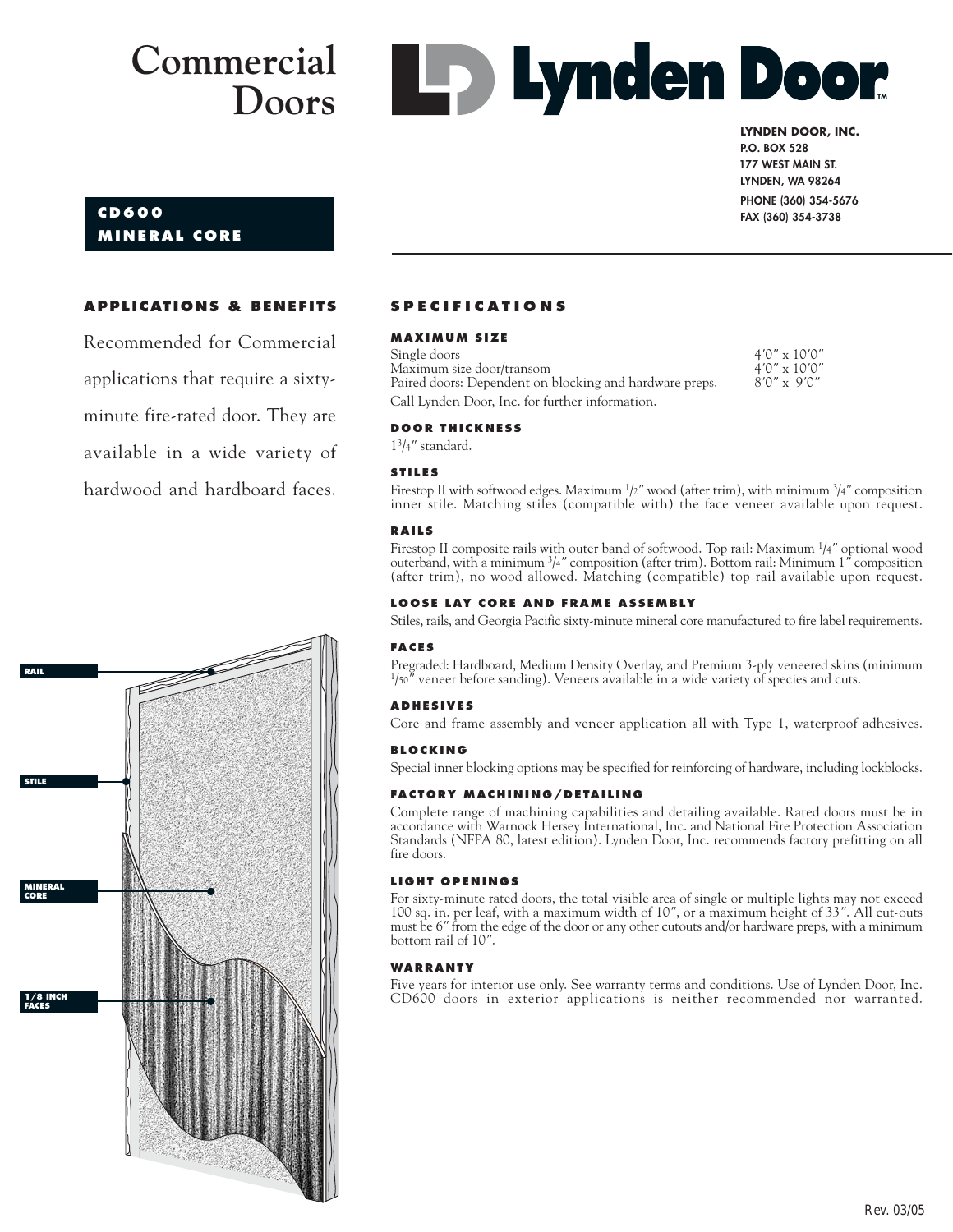**Lynden Door** 

# **LYNDEN DOOR, INC. P.O. BOX 528**

# **CD600 MINERAL CORE**

**177 WEST MAIN ST. 177 WEST MAIN ST. LYNDEN, WA 98264 PHONE (360) 354-5676 FAX (360) 354-3738**

### **APPLICATIONS & BENEFITS**

Recommended for Commercial applications that require a sixtyminute fire-rated door. They are available in a wide variety of hardwood and hardboard faces.



# **SPECIFICATIONS**

#### **MAXIMUM SIZE**

Single doors 4*'*0*"* x 10*'*0*"*  $Maximum size door/transom$ Paired doors: Dependent on blocking and hardware preps. Call Lynden Door, Inc. for further information.

#### **DOOR THICKNESS**

13/4*"* standard.

#### **STILES**

Firestop II with softwood edges. Maximum 1 /2*"* wood (after trim), with minimum 3 /4*"* composition inner stile. Matching stiles (compatible with) the face veneer available upon request.

#### **RAILS**

Firestop II composite rails with outer band of softwood. Top rail: Maximum 1/4*"* optional wood outerband, with a minimum 3/4*"* composition (after trim). Bottom rail: Minimum 1*"* composition (after trim), no wood allowed. Matching (compatible) top rail available upon request.

#### **LOOSE LAY CORE AND FRAME ASSEMBLY**

Stiles, rails, and Georgia Pacific sixty-minute mineral core manufactured to fire label requirements.

#### **FACES**

Pregraded: Hardboard, Medium Density Overlay, and Premium 3-ply veneered skins (minimum  $1/50$ <sup>"</sup> veneer before sanding). Veneers available in a wide variety of species and cuts.

#### **ADHESIVES**

Core and frame assembly and veneer application all with Type 1, waterproof adhesives.

#### **BLOCKING**

Special inner blocking options may be specified for reinforcing of hardware, including lockblocks.

#### **FACTORY MACHINING/DETAILING**

Complete range of machining capabilities and detailing available. Rated doors must be in accordance with Warnock Hersey International, Inc. and National Fire Protection Association Standards (NFPA 80, latest edition). Lynden Door, Inc. recommends factory prefitting on all fire doors.

#### **LIGHT OPENINGS**

For sixty-minute rated doors, the total visible area of single or multiple lights may not exceed 100 sq. in. per leaf, with a maximum width of 10*"*, or a maximum height of 33*"*. All cut-outs must be 6*"* from the edge of the door or any other cutouts and/or hardware preps, with a minimum bottom rail of 10*"*.

#### **WARRANTY**

Five years for interior use only. See warranty terms and conditions. Use of Lynden Door, Inc. CD600 doors in exterior applications is neither recommended nor warranted.